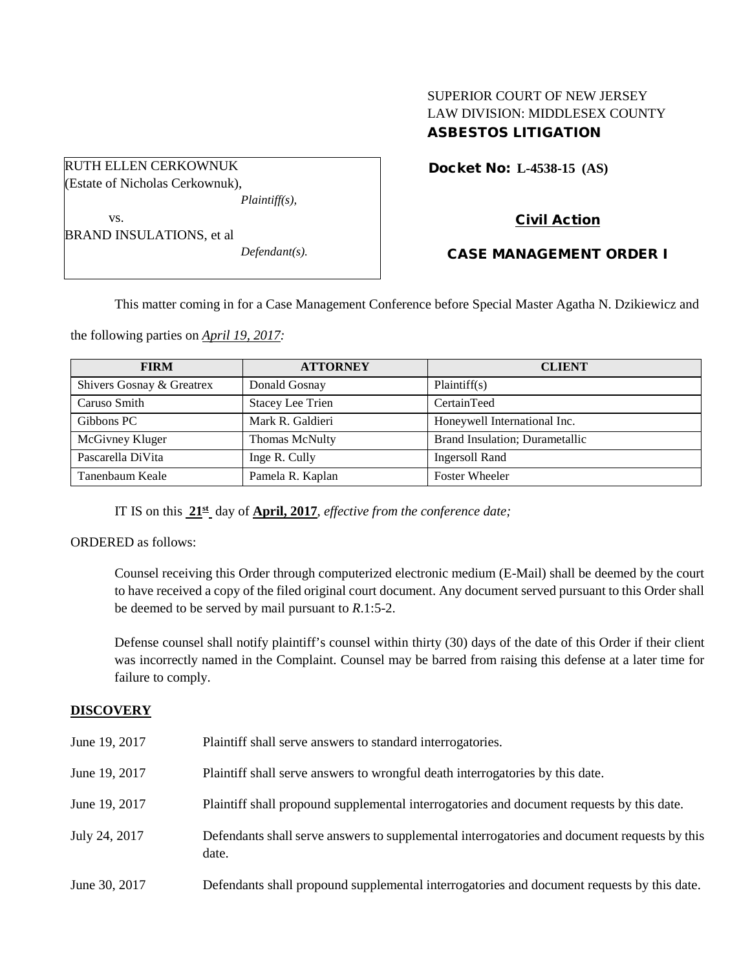# SUPERIOR COURT OF NEW JERSEY LAW DIVISION: MIDDLESEX COUNTY ASBESTOS LITIGATION

Docket No: **L-4538-15 (AS)** 

Civil Action

vs. BRAND INSULATIONS, et al *Defendant(s).*

*Plaintiff(s),*

RUTH ELLEN CERKOWNUK (Estate of Nicholas Cerkownuk),

# CASE MANAGEMENT ORDER I

This matter coming in for a Case Management Conference before Special Master Agatha N. Dzikiewicz and

the following parties on *April 19, 2017:*

| <b>FIRM</b>               | <b>ATTORNEY</b>         | <b>CLIENT</b>                  |
|---------------------------|-------------------------|--------------------------------|
| Shivers Gosnay & Greatrex | Donald Gosnay           | Plaintiff(s)                   |
| Caruso Smith              | <b>Stacey Lee Trien</b> | CertainTeed                    |
| Gibbons PC                | Mark R. Galdieri        | Honeywell International Inc.   |
| McGivney Kluger           | Thomas McNulty          | Brand Insulation; Durametallic |
| Pascarella DiVita         | Inge R. Cully           | <b>Ingersoll Rand</b>          |
| Tanenbaum Keale           | Pamela R. Kaplan        | <b>Foster Wheeler</b>          |

IT IS on this **21st** day of **April, 2017**, *effective from the conference date;*

ORDERED as follows:

Counsel receiving this Order through computerized electronic medium (E-Mail) shall be deemed by the court to have received a copy of the filed original court document. Any document served pursuant to this Order shall be deemed to be served by mail pursuant to *R*.1:5-2.

Defense counsel shall notify plaintiff's counsel within thirty (30) days of the date of this Order if their client was incorrectly named in the Complaint. Counsel may be barred from raising this defense at a later time for failure to comply.

### **DISCOVERY**

| June 19, 2017 | Plaintiff shall serve answers to standard interrogatories.                                            |
|---------------|-------------------------------------------------------------------------------------------------------|
| June 19, 2017 | Plaintiff shall serve answers to wrongful death interrogatories by this date.                         |
| June 19, 2017 | Plaintiff shall propound supplemental interrogatories and document requests by this date.             |
| July 24, 2017 | Defendants shall serve answers to supplemental interrogatories and document requests by this<br>date. |
| June 30, 2017 | Defendants shall propound supplemental interrogatories and document requests by this date.            |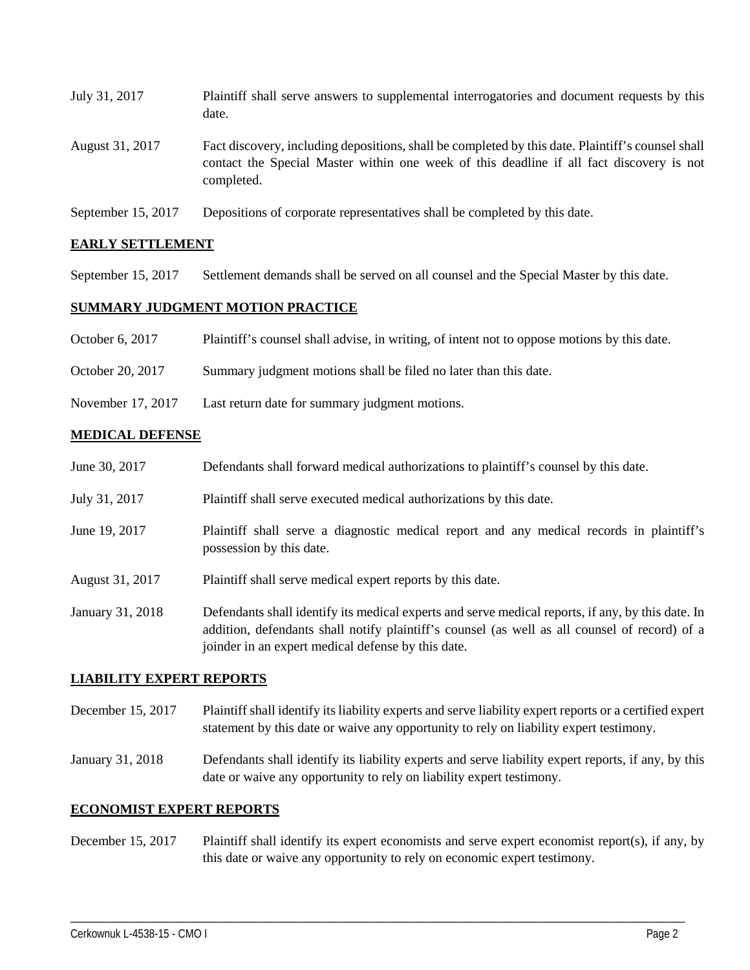| July 31, 2017   | Plaintiff shall serve answers to supplemental interrogatories and document requests by this<br>date.                                                                                                        |
|-----------------|-------------------------------------------------------------------------------------------------------------------------------------------------------------------------------------------------------------|
| August 31, 2017 | Fact discovery, including depositions, shall be completed by this date. Plaintiff's counsel shall<br>contact the Special Master within one week of this deadline if all fact discovery is not<br>completed. |

September 15, 2017 Depositions of corporate representatives shall be completed by this date.

### **EARLY SETTLEMENT**

September 15, 2017 Settlement demands shall be served on all counsel and the Special Master by this date.

# **SUMMARY JUDGMENT MOTION PRACTICE**

- October 6, 2017 Plaintiff's counsel shall advise, in writing, of intent not to oppose motions by this date.
- October 20, 2017 Summary judgment motions shall be filed no later than this date.
- November 17, 2017 Last return date for summary judgment motions.

### **MEDICAL DEFENSE**

| June 30, 2017    | Defendants shall forward medical authorizations to plaintiff's counsel by this date.                                                                                                                                                                     |
|------------------|----------------------------------------------------------------------------------------------------------------------------------------------------------------------------------------------------------------------------------------------------------|
| July 31, 2017    | Plaintiff shall serve executed medical authorizations by this date.                                                                                                                                                                                      |
| June 19, 2017    | Plaintiff shall serve a diagnostic medical report and any medical records in plaintiff's<br>possession by this date.                                                                                                                                     |
| August 31, 2017  | Plaintiff shall serve medical expert reports by this date.                                                                                                                                                                                               |
| January 31, 2018 | Defendants shall identify its medical experts and serve medical reports, if any, by this date. In<br>addition, defendants shall notify plaintiff's counsel (as well as all counsel of record) of a<br>joinder in an expert medical defense by this date. |

#### **LIABILITY EXPERT REPORTS**

- December 15, 2017 Plaintiff shall identify its liability experts and serve liability expert reports or a certified expert statement by this date or waive any opportunity to rely on liability expert testimony.
- January 31, 2018 Defendants shall identify its liability experts and serve liability expert reports, if any, by this date or waive any opportunity to rely on liability expert testimony.

#### **ECONOMIST EXPERT REPORTS**

December 15, 2017 Plaintiff shall identify its expert economists and serve expert economist report(s), if any, by this date or waive any opportunity to rely on economic expert testimony.

\_\_\_\_\_\_\_\_\_\_\_\_\_\_\_\_\_\_\_\_\_\_\_\_\_\_\_\_\_\_\_\_\_\_\_\_\_\_\_\_\_\_\_\_\_\_\_\_\_\_\_\_\_\_\_\_\_\_\_\_\_\_\_\_\_\_\_\_\_\_\_\_\_\_\_\_\_\_\_\_\_\_\_\_\_\_\_\_\_\_\_\_\_\_\_\_\_\_\_\_\_\_\_\_\_\_\_\_\_\_